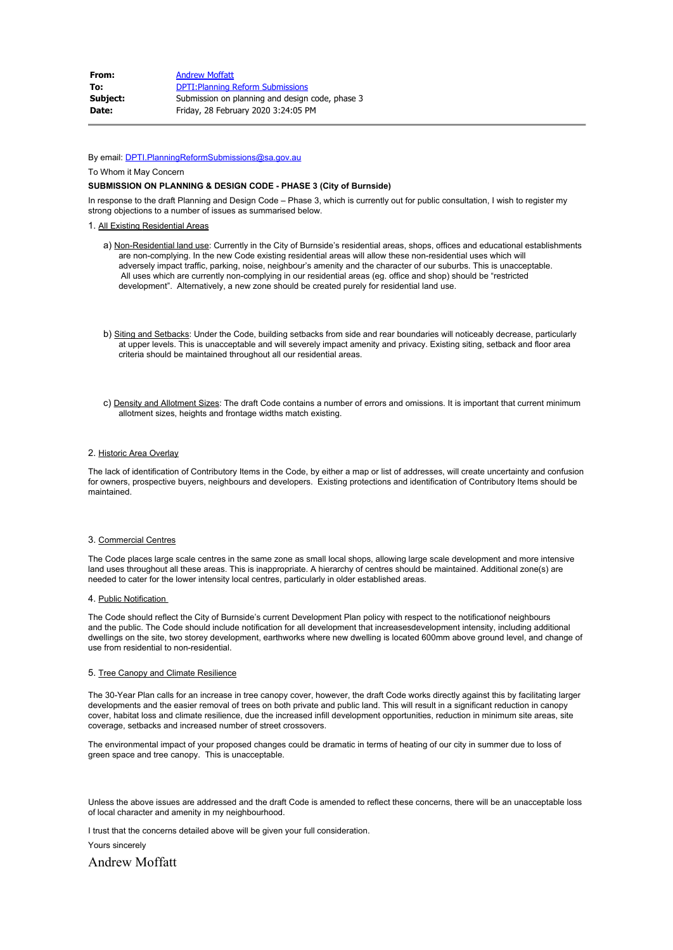| From:        | <b>Andrew Moffatt</b>                           |
|--------------|-------------------------------------------------|
| To:          | <b>DPTI: Planning Reform Submissions</b>        |
| Subject:     | Submission on planning and design code, phase 3 |
| <b>Date:</b> | Friday, 28 February 2020 3:24:05 PM             |

By email: [DPTI.PlanningReformSubmissions@sa.gov.au](mailto:DPTI.PlanningReformSubmissions@sa.gov.au)

To Whom it May Concern

## **SUBMISSION ON PLANNING & DESIGN CODE - PHASE 3 (City of Burnside)**

In response to the draft Planning and Design Code – Phase 3, which is currently out for public consultation, I wish to register my strong objections to a number of issues as summarised below.

# 1. All Existing Residential Areas

- a) Non-Residential land use: Currently in the City of Burnside's residential areas, shops, offices and educational establishments are non-complying. In the new Code existing residential areas will allow these non-residential uses which will adversely impact traffic, parking, noise, neighbour's amenity and the character of our suburbs. This is unacceptable. All uses which are currently non-complying in our residential areas (eg. office and shop) should be "restricted development". Alternatively, a new zone should be created purely for residential land use.
- b) Siting and Setbacks: Under the Code, building setbacks from side and rear boundaries will noticeably decrease, particularly at upper levels. This is unacceptable and will severely impact amenity and privacy. Existing siting, setback and floor area criteria should be maintained throughout all our residential areas.
- c) Density and Allotment Sizes: The draft Code contains a number of errors and omissions. It is important that current minimum allotment sizes, heights and frontage widths match existing.

### 2. Historic Area Overlay

The lack of identification of Contributory Items in the Code, by either a map or list of addresses, will create uncertainty and confusion for owners, prospective buyers, neighbours and developers. Existing protections and identification of Contributory Items should be maintained.

### 3. Commercial Centres

The Code places large scale centres in the same zone as small local shops, allowing large scale development and more intensive land uses throughout all these areas. This is inappropriate. A hierarchy of centres should be maintained. Additional zone(s) are needed to cater for the lower intensity local centres, particularly in older established areas.

#### 4. Public Notification

The Code should reflect the City of Burnside's current Development Plan policy with respect to the notificationof neighbours and the public. The Code should include notification for all development that increasesdevelopment intensity, including additional dwellings on the site, two storey development, earthworks where new dwelling is located 600mm above ground level, and change of use from residential to non-residential.

#### 5. Tree Canopy and Climate Resilience

The 30-Year Plan calls for an increase in tree canopy cover, however, the draft Code works directly against this by facilitating larger developments and the easier removal of trees on both private and public land. This will result in a significant reduction in canopy cover, habitat loss and climate resilience, due the increased infill development opportunities, reduction in minimum site areas, site coverage, setbacks and increased number of street crossovers.

The environmental impact of your proposed changes could be dramatic in terms of heating of our city in summer due to loss of green space and tree canopy. This is unacceptable.

Unless the above issues are addressed and the draft Code is amended to reflect these concerns, there will be an unacceptable loss of local character and amenity in my neighbourhood.

I trust that the concerns detailed above will be given your full consideration.

Yours sincerely

Andrew Moffatt